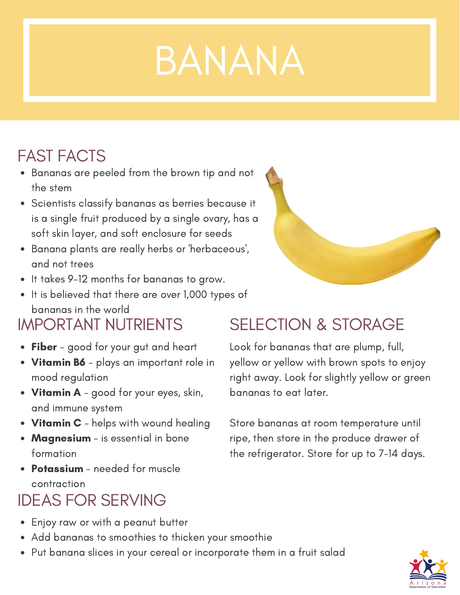# BANANA

## FAST FACTS

- Bananas are peeled from the brown tip and not the stem
- Scientists classify bananas as berries because it is a single fruit produced by a single ovary, has a soft skin layer, and soft enclosure for seeds
- Banana plants are really herbs or 'herbaceous', and not trees
- It takes 9-12 months for bananas to grow.
- It is believed that there are over 1,000 types of bananas in the world

## IMPORTANT NUTRIENTS

- Fiber good for your gut and heart
- Vitamin B6 plays an important role in mood regulation
- Vitamin A good for your eyes, skin, and immune system
- Vitamin C helps with wound healing
- Magnesium is essential in bone formation
- Potassium needed for muscle contraction

## IDEAS FOR SERVING

- Enjoy raw or with a peanut butter
- Add bananas to smoothies to thicken your smoothie
- Put banana slices in your cereal or incorporate them in a fruit salad



## SELECTION & STORAGE

Look for bananas that are plump, full, yellow or yellow with brown spots to enjoy right away. Look for slightly yellow or green bananas to eat later.

Store bananas at room temperature until ripe, then store in the produce drawer of the refrigerator. Store for up to 7-14 days.